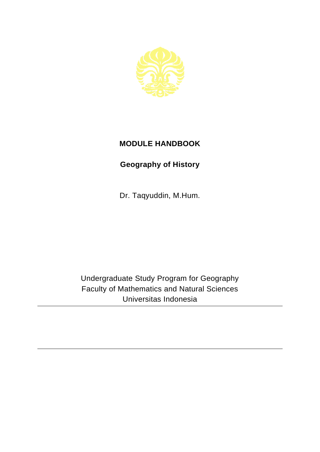

## **MODULE HANDBOOK**

## **Geography of History**

Dr. Taqyuddin, M.Hum.

Undergraduate Study Program for Geography Faculty of Mathematics and Natural Sciences Universitas Indonesia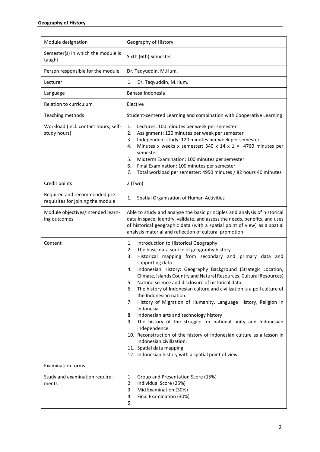| Module designation                                                 | Geography of History                                                                                                                                                                                                                                                                                                                                                                                                                                                                                                                                                                                                                                                                                                                                                                                                                                                                                                        |
|--------------------------------------------------------------------|-----------------------------------------------------------------------------------------------------------------------------------------------------------------------------------------------------------------------------------------------------------------------------------------------------------------------------------------------------------------------------------------------------------------------------------------------------------------------------------------------------------------------------------------------------------------------------------------------------------------------------------------------------------------------------------------------------------------------------------------------------------------------------------------------------------------------------------------------------------------------------------------------------------------------------|
| Semester(s) in which the module is<br>taught                       | Sixth (6th) Semester                                                                                                                                                                                                                                                                                                                                                                                                                                                                                                                                                                                                                                                                                                                                                                                                                                                                                                        |
| Person responsible for the module                                  | Dr. Taqyuddin, M.Hum.                                                                                                                                                                                                                                                                                                                                                                                                                                                                                                                                                                                                                                                                                                                                                                                                                                                                                                       |
| Lecturer                                                           | Dr. Taqyuddin, M.Hum.<br>1.                                                                                                                                                                                                                                                                                                                                                                                                                                                                                                                                                                                                                                                                                                                                                                                                                                                                                                 |
| Language                                                           | Bahasa Indonesia                                                                                                                                                                                                                                                                                                                                                                                                                                                                                                                                                                                                                                                                                                                                                                                                                                                                                                            |
| Relation to curriculum                                             | Elective                                                                                                                                                                                                                                                                                                                                                                                                                                                                                                                                                                                                                                                                                                                                                                                                                                                                                                                    |
| Teaching methods                                                   | Student-centered Learning and combination with Cooperative Learning                                                                                                                                                                                                                                                                                                                                                                                                                                                                                                                                                                                                                                                                                                                                                                                                                                                         |
| Workload (incl. contact hours, self-<br>study hours)               | 1.<br>Lectures: 100 minutes per week per semester<br>2.<br>Assignment: 120 minutes per week per semester<br>Independent study: 120 minutes per week per semester<br>3.<br>Minutes x weeks x semester: 340 x 14 x 1 = 4760 minutes per<br>4.<br>semester<br>5.<br>Midterm Examination: 100 minutes per semester<br>6.<br>Final Examination: 100 minutes per semester<br>Total workload per semester: 4950 minutes / 82 hours 40 minutes<br>7.                                                                                                                                                                                                                                                                                                                                                                                                                                                                                |
| Credit points                                                      | $2$ (Two)                                                                                                                                                                                                                                                                                                                                                                                                                                                                                                                                                                                                                                                                                                                                                                                                                                                                                                                   |
| Required and recommended pre-<br>requisites for joining the module | Spatial Organization of Human Activities<br>1.                                                                                                                                                                                                                                                                                                                                                                                                                                                                                                                                                                                                                                                                                                                                                                                                                                                                              |
| Module objectives/intended learn-<br>ing outcomes                  | Able to study and analyze the basic principles and analysis of historical<br>data in space, identify, validate, and assess the needs, benefits, and uses<br>of historical geographic data (with a spatial point of view) as a spatial<br>analysis material and reflection of cultural promotion                                                                                                                                                                                                                                                                                                                                                                                                                                                                                                                                                                                                                             |
| Content                                                            | Introduction to Historical Geography<br>1.<br>The basic data source of geography history<br>2.<br>3.<br>Historical mapping from secondary and primary data and<br>supporting data<br>Indonesian History: Geography Background (Strategic Location,<br>4.<br>Climate, Islands Country and Natural Resources, Cultural Resources)<br>Natural science and disclosure of historical data<br>5.<br>The history of Indonesian culture and civilization is a poll culture of<br>6.<br>the Indonesian nation.<br>History of Migration of Humanity, Language History, Religion in<br>7.<br>Indonesia<br>Indonesian arts and technology history<br>8.<br>The history of the struggle for national unity and Indonesian<br>9.<br>independence<br>10. Reconstruction of the history of Indonesian culture as a lesson in<br>Indonesian civilization.<br>11. Spatial data mapping<br>12. Indonesian history with a spatial point of view |
| <b>Examination forms</b>                                           | $\overline{\phantom{a}}$                                                                                                                                                                                                                                                                                                                                                                                                                                                                                                                                                                                                                                                                                                                                                                                                                                                                                                    |
| Study and examination require-<br>ments                            | Group and Presentation Score (15%)<br>1.<br>Individual Score (25%)<br>2.<br>Mid Examination (30%)<br>3.<br>Final Examination (30%)<br>4.<br>5.                                                                                                                                                                                                                                                                                                                                                                                                                                                                                                                                                                                                                                                                                                                                                                              |